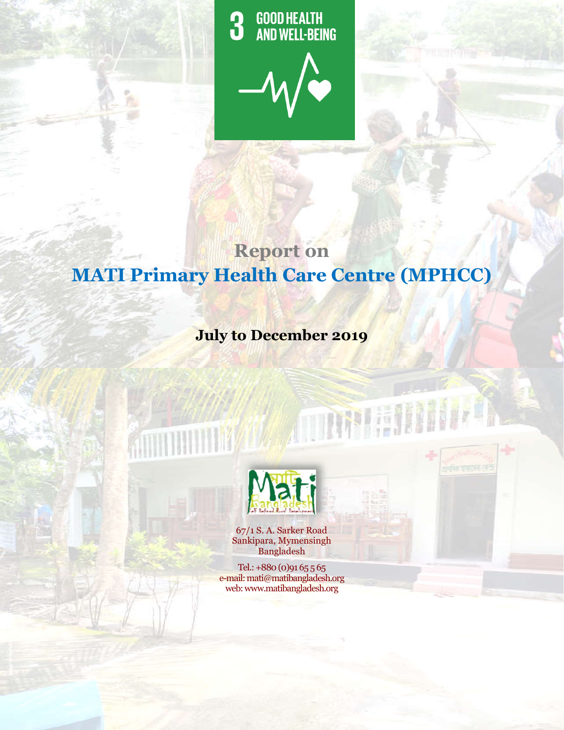**GOOD HEALTH<br>AND WELL-BEING 3** 



# **MATI Primary Health Care Centre (MPHCC MPHCC)Report on**

# **July to December 2019**



67/1 S. A. Sarker Road Sankipara, Mymensingh Bangladesh

Tel.: +880 (0)91 65 5 65 e-mail: mati@matibangladesh.org web: www.matibangladesh.org

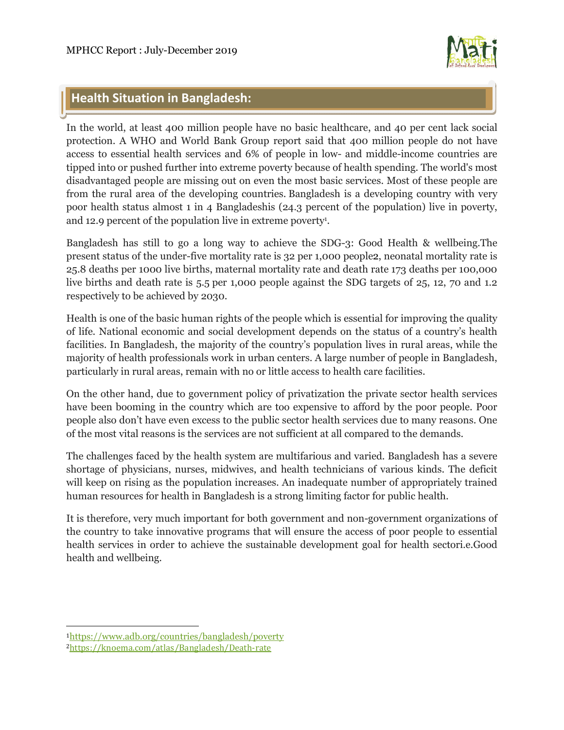

# **Health Situation in Bangladesh:**

In the world, at least 400 million people have no basic healthcare, and 40 per cent lack social protection. A WHO and World Bank Group report said that 400 million people do not have access to essential health services and 6% of people in low- and middle-income countries are tipped into or pushed further into extreme poverty because of health spending. The world's most disadvantaged people are missing out on even the most basic services. Most of these people are from the rural area of the developing countries. Bangladesh is a developing country with very poor health status almost 1 in 4 Bangladeshis (24.3 percent of the population) live in poverty, and 12.9 percent of the population live in extreme poverty<sup>1</sup>.

Bangladesh has still to go a long way to achieve the SDG-3: Good Health & wellbeing.The present status of the under-five mortality rate is 32 per 1,000 people2, neonatal mortality rate is 25.8 deaths per 1000 live births, maternal mortality rate and death rate 173 deaths per 100,000 live births and death rate is 5.5 per 1,000 people against the SDG targets of 25, 12, 70 and 1.2 respectively to be achieved by 2030.

Health is one of the basic human rights of the people which is essential for improving the quality of life. National economic and social development depends on the status of a country's health facilities. In Bangladesh, the majority of the country's population lives in rural areas, while the majority of health professionals work in urban centers. A large number of people in Bangladesh, particularly in rural areas, remain with no or little access to health care facilities.

On the other hand, due to government policy of privatization the private sector health services have been booming in the country which are too expensive to afford by the poor people. Poor people also don't have even excess to the public sector health services due to many reasons. One of the most vital reasons is the services are not sufficient at all compared to the demands.

The challenges faced by the health system are multifarious and varied. Bangladesh has a severe shortage of physicians, nurses, midwives, and health technicians of various kinds. The deficit will keep on rising as the population increases. An inadequate number of appropriately trained human resources for health in Bangladesh is a strong limiting factor for public health.

It is therefore, very much important for both government and non-government organizations of the country to take innovative programs that will ensure the access of poor people to essential health services in order to achieve the sustainable development goal for health sectori.e.Good health and wellbeing.

 $\overline{a}$ 

<sup>1</sup>https://www.adb.org/countries/bangladesh/poverty

<sup>2</sup>https://knoema.com/atlas/Bangladesh/Death-rate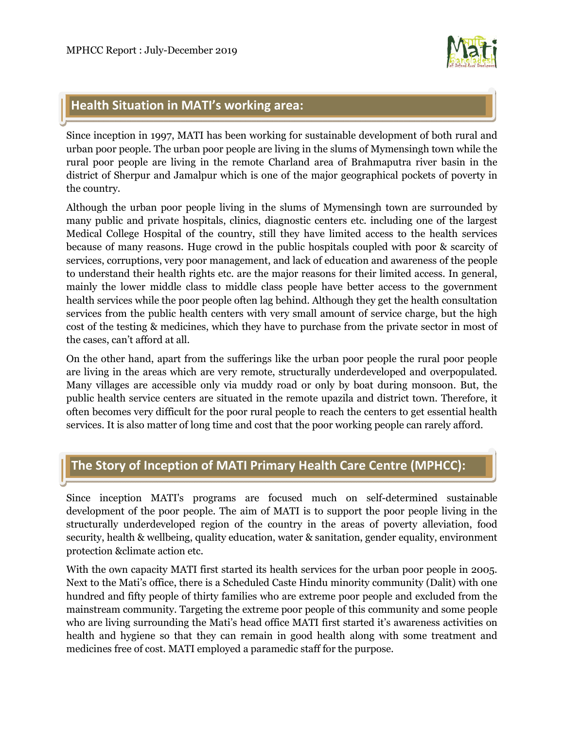

# **Health Situation in MATI's working area:**

Since inception in 1997, MATI has been working for sustainable development of both rural and urban poor people. The urban poor people are living in the slums of Mymensingh town while the rural poor people are living in the remote Charland area of Brahmaputra river basin in the district of Sherpur and Jamalpur which is one of the major geographical pockets of poverty in the country.

Although the urban poor people living in the slums of Mymensingh town are surrounded by many public and private hospitals, clinics, diagnostic centers etc. including one of the largest Medical College Hospital of the country, still they have limited access to the health services because of many reasons. Huge crowd in the public hospitals coupled with poor & scarcity of services, corruptions, very poor management, and lack of education and awareness of the people to understand their health rights etc. are the major reasons for their limited access. In general, mainly the lower middle class to middle class people have better access to the government health services while the poor people often lag behind. Although they get the health consultation services from the public health centers with very small amount of service charge, but the high cost of the testing & medicines, which they have to purchase from the private sector in most of the cases, can't afford at all.

On the other hand, apart from the sufferings like the urban poor people the rural poor people are living in the areas which are very remote, structurally underdeveloped and overpopulated. Many villages are accessible only via muddy road or only by boat during monsoon. But, the public health service centers are situated in the remote upazila and district town. Therefore, it often becomes very difficult for the poor rural people to reach the centers to get essential health services. It is also matter of long time and cost that the poor working people can rarely afford.

# **The Story of Inception of MATI Primary Health Care Centre (MPHCC):**

Since inception MATI's programs are focused much on self-determined sustainable development of the poor people. The aim of MATI is to support the poor people living in the structurally underdeveloped region of the country in the areas of poverty alleviation, food security, health & wellbeing, quality education, water & sanitation, gender equality, environment protection &climate action etc.

With the own capacity MATI first started its health services for the urban poor people in 2005. Next to the Mati's office, there is a Scheduled Caste Hindu minority community (Dalit) with one hundred and fifty people of thirty families who are extreme poor people and excluded from the mainstream community. Targeting the extreme poor people of this community and some people who are living surrounding the Mati's head office MATI first started it's awareness activities on health and hygiene so that they can remain in good health along with some treatment and medicines free of cost. MATI employed a paramedic staff for the purpose.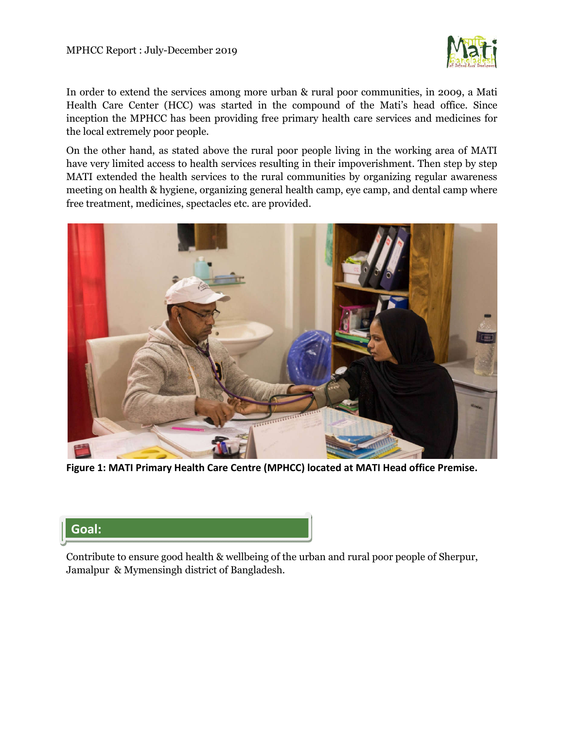

In order to extend the services among more urban & rural poor communities, in 2009, a Mati Health Care Center (HCC) was started in the compound of the Mati's head office. Since inception the MPHCC has been providing free primary health care services and medicines for the local extremely poor people.

On the other hand, as stated above the rural poor people living in the working area of MATI have very limited access to health services resulting in their impoverishment. Then step by step MATI extended the health services to the rural communities by organizing regular awareness meeting on health & hygiene, organizing general health camp, eye camp, and dental camp where free treatment, medicines, spectacles etc. are provided.



**Figure 1: MATI Primary Health Care Centre (MPHCC) located at MATI Head office Premise.**

# **Goal:**

Contribute to ensure good health & wellbeing of the urban and rural poor people of Sherpur, Jamalpur & Mymensingh district of Bangladesh.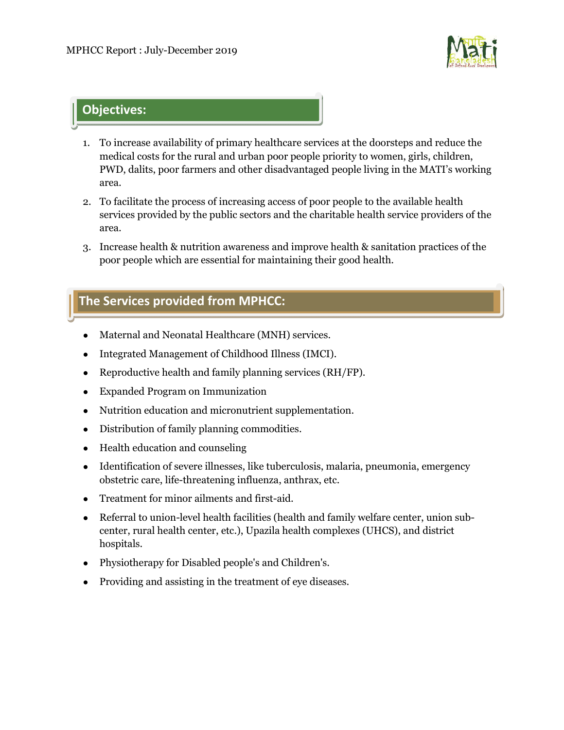

# **Objectives:**

- 1. To increase availability of primary healthcare services at the doorsteps and reduce the medical costs for the rural and urban poor people priority to women, girls, children, PWD, dalits, poor farmers and other disadvantaged people living in the MATI's working area.
- 2. To facilitate the process of increasing access of poor people to the available health services provided by the public sectors and the charitable health service providers of the area.
- 3. Increase health & nutrition awareness and improve health & sanitation practices of the poor people which are essential for maintaining their good health.

# **The Services provided from MPHCC:**

- Maternal and Neonatal Healthcare (MNH) services.
- Integrated Management of Childhood Illness (IMCI).
- Reproductive health and family planning services (RH/FP).
- Expanded Program on Immunization
- Nutrition education and micronutrient supplementation.
- Distribution of family planning commodities.
- Health education and counseling
- Identification of severe illnesses, like tuberculosis, malaria, pneumonia, emergency obstetric care, life-threatening influenza, anthrax, etc.
- Treatment for minor ailments and first-aid.
- Referral to union-level health facilities (health and family welfare center, union subcenter, rural health center, etc.), Upazila health complexes (UHCS), and district hospitals.
- Physiotherapy for Disabled people's and Children's.
- Providing and assisting in the treatment of eye diseases.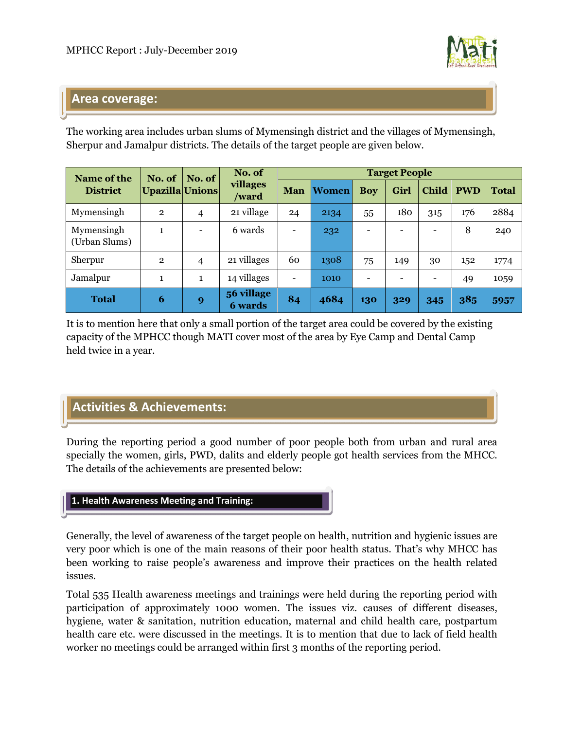

### **Area coverage:**

The working area includes urban slums of Mymensingh district and the villages of Mymensingh, Sherpur and Jamalpur districts. The details of the target people are given below.

| Name of the<br><b>District</b> | No. of<br>Upazilla Unions | No. of                       | No. of<br>villages<br>/ward  | <b>Target People</b>         |              |                 |      |                              |            |              |
|--------------------------------|---------------------------|------------------------------|------------------------------|------------------------------|--------------|-----------------|------|------------------------------|------------|--------------|
|                                |                           |                              |                              | <b>Man</b>                   | <b>Women</b> | <b>Boy</b>      | Girl | <b>Child</b>                 | <b>PWD</b> | <b>Total</b> |
| Mymensingh                     | $\overline{2}$            | 4                            | 21 village                   | 24                           | 2134         | 55              | 180  | 315                          | 176        | 2884         |
| Mymensingh<br>(Urban Slums)    | $\mathbf{1}$              | $\qquad \qquad \blacksquare$ | 6 wards                      | $\qquad \qquad \blacksquare$ | 232          | $\qquad \qquad$ |      | $\qquad \qquad \blacksquare$ | 8          | 240          |
| Sherpur                        | $\overline{2}$            | 4                            | 21 villages                  | 60                           | 1308         | 75              | 149  | 30                           | 152        | 1774         |
| Jamalpur                       | $\mathbf{1}$              | $\mathbf{1}$                 | 14 villages                  | $\overline{\phantom{a}}$     | 1010         | ۰               |      | $\overline{\phantom{a}}$     | 49         | 1059         |
| <b>Total</b>                   | 6                         | 9                            | 56 village<br><b>6</b> wards | 84                           | 4684         | 130             | 329  | 345                          | 385        | 5957         |

It is to mention here that only a small portion of the target area could be covered by the existing capacity of the MPHCC though MATI cover most of the area by Eye Camp and Dental Camp held twice in a year.

# **Activities & Achievements:**

During the reporting period a good number of poor people both from urban and rural area specially the women, girls, PWD, dalits and elderly people got health services from the MHCC. The details of the achievements are presented below:



Generally, the level of awareness of the target people on health, nutrition and hygienic issues are very poor which is one of the main reasons of their poor health status. That's why MHCC has been working to raise people's awareness and improve their practices on the health related issues.

Total 535 Health awareness meetings and trainings were held during the reporting period with participation of approximately 1000 women. The issues viz. causes of different diseases, hygiene, water & sanitation, nutrition education, maternal and child health care, postpartum health care etc. were discussed in the meetings. It is to mention that due to lack of field health worker no meetings could be arranged within first 3 months of the reporting period.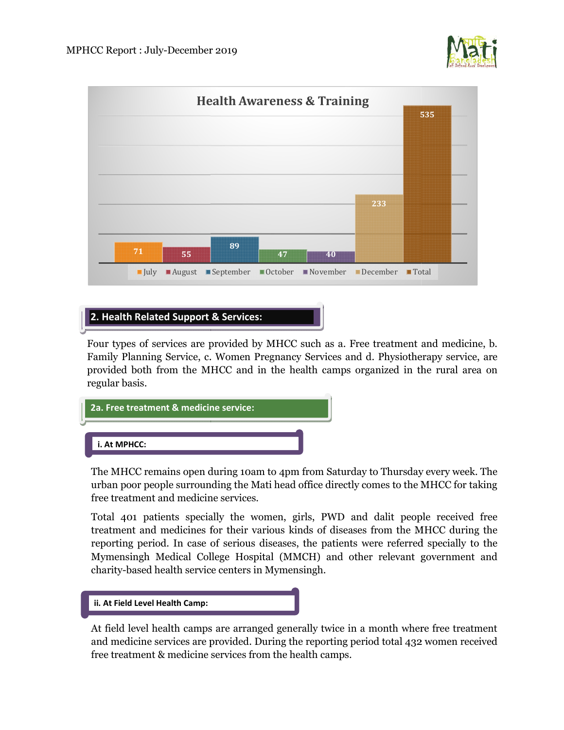



#### **2. Health Related Support & Services:**

Four types of services are provided by MHCC such as a. Free treatment and medicine, b. Family Planning Service, c. Women Pregnancy Services and d. Physiotherapy service, are provided both from the MHCC and in the health camps organized in the rural area on regular basis.



The MHCC remains open during 10am to 4pm from Saturday to Thursday every week. The urban poor people surrounding the Mati head office directly comes to the MHCC for free treatment and medicine services.

Total 401 patients specially the women, girls, PWD and dalit people received free treatment and medicines for their various kinds of diseases from the MHCC during the reporting period. In case of serious diseases, the patients were referred specially to the Mymensingh Medical College Hospital (MMCH) and other relevant government and charity-based health service centers in Mymensingh. of diseases from the MHCC during the<br>patients were referred specially to the<br>) and other relevant government and<br>h.<br>twice in a month where free treatment<br>porting period total 432 women received



At field level health camps are arranged generally twice in a month where free treatment and medicine services are provided. During the reporting period total 432 free treatment & medicine services from the health camps.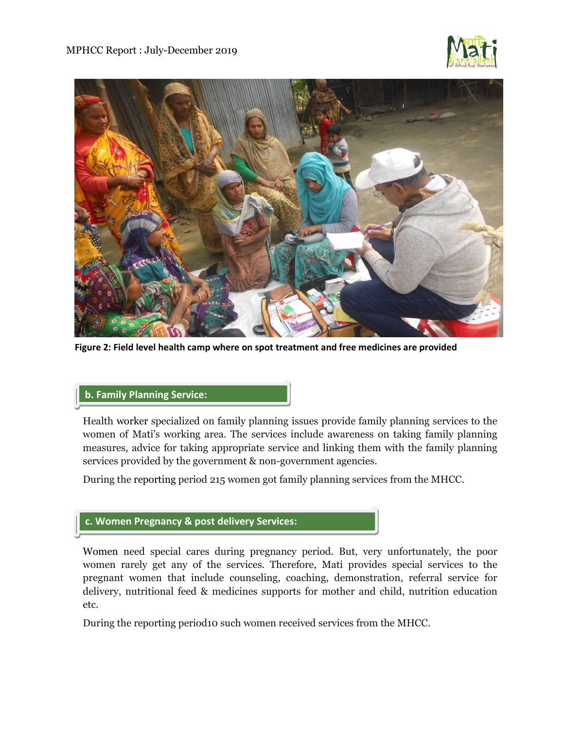



**Figure 2: Field level health camp where on spot treatment and free medicines are provided**

#### **b. Family Planning Service:**

Health worker specialized on family planning issues provide family planning services to the women of Mati's working area. The services include awareness on taking family planning measures, advice for taking appropriate service and linking them with the family planning services provided by the government & non-government agencies.

During the reporting period 215 women got family planning services from the MHCC.

#### **c. Women Pregnancy & post delivery Services:**

Women need special cares during pregnancy period. But, very unfortunately, the poor women rarely get any of the services. Therefore, Mati provides special services to the pregnant women that include counseling, coaching, demonstration, referral service for delivery, nutritional feed & medicines supports for mother and child, nutrition education etc.

During the reporting period10 such women received services from the MHCC.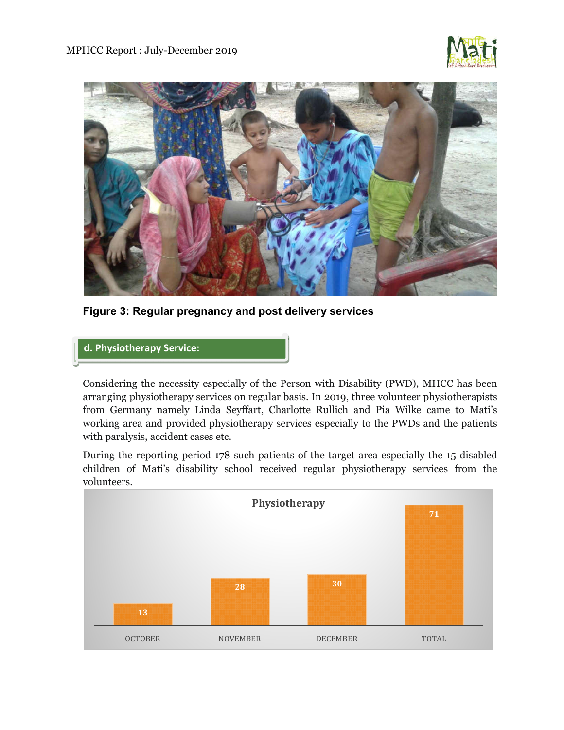



**Figure 3: Regular pregnancy and post delivery services** 

#### **d. Physiotherapy Service:**

Considering the necessity especially of the Person with Disability (PWD), MHCC has been arranging physiotherapy services on regular basis. In 2019, three volunteer physiotherapists from Germany namely Linda Seyffart, Charlotte Rullich and Pia Wilke came to Mati's working area and provided physiotherapy services especially to the PWDs and the patients with paralysis, accident cases etc.

During the reporting period 178 such patients of the target area especially the 15 disabled children of Mati's disability school received regular physiotherapy services from the volunteers.

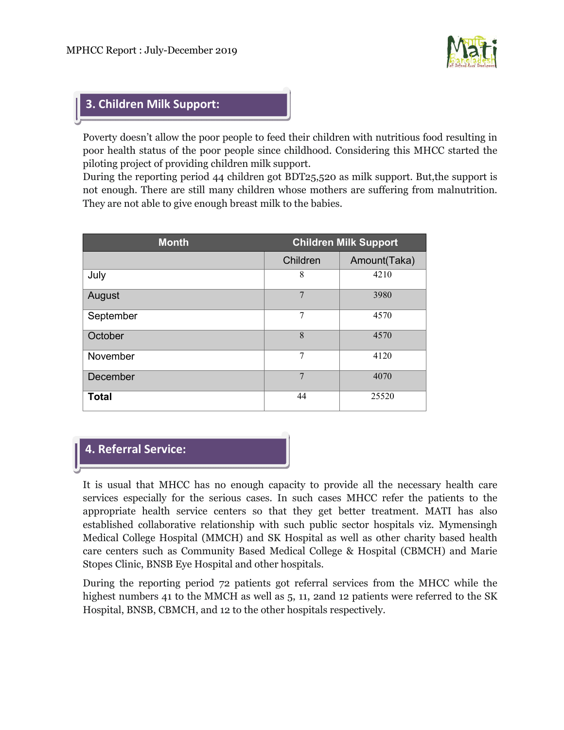

## **3. Children Milk Support:**

Poverty doesn't allow the poor people to feed their children with nutritious food resulting in poor health status of the poor people since childhood. Considering this MHCC started the piloting project of providing children milk support.

During the reporting period 44 children got BDT25,520 as milk support. But,the support is not enough. There are still many children whose mothers are suffering from malnutrition. They are not able to give enough breast milk to the babies.

| <b>Month</b> | <b>Children Milk Support</b> |              |  |  |
|--------------|------------------------------|--------------|--|--|
|              | Children                     | Amount(Taka) |  |  |
| July         | 8                            | 4210         |  |  |
| August       | 7                            | 3980         |  |  |
| September    | 7                            | 4570         |  |  |
| October      | 8                            | 4570         |  |  |
| November     | 7                            | 4120         |  |  |
| December     | 7                            | 4070         |  |  |
| <b>Total</b> | 44                           | 25520        |  |  |

### **4. Referral Service:**

It is usual that MHCC has no enough capacity to provide all the necessary health care services especially for the serious cases. In such cases MHCC refer the patients to the appropriate health service centers so that they get better treatment. MATI has also established collaborative relationship with such public sector hospitals viz. Mymensingh Medical College Hospital (MMCH) and SK Hospital as well as other charity based health care centers such as Community Based Medical College & Hospital (CBMCH) and Marie Stopes Clinic, BNSB Eye Hospital and other hospitals.

During the reporting period 72 patients got referral services from the MHCC while the highest numbers 41 to the MMCH as well as 5, 11, 2and 12 patients were referred to the SK Hospital, BNSB, CBMCH, and 12 to the other hospitals respectively.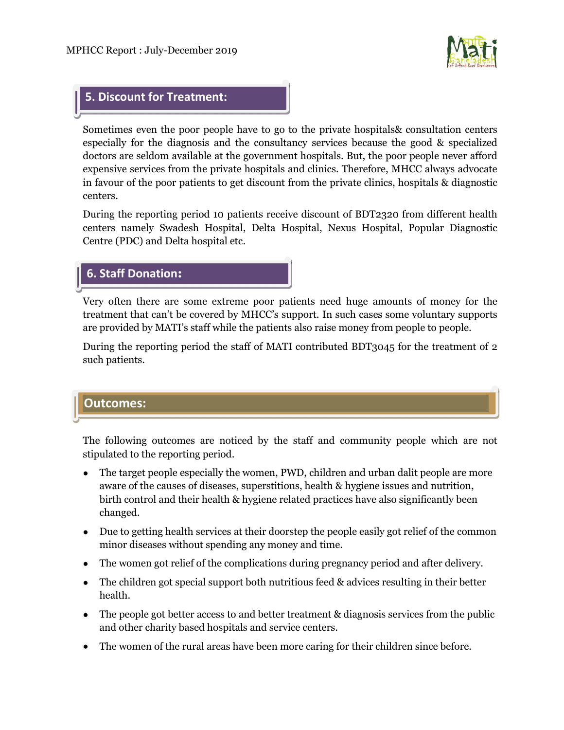

### **5. Discount for Treatment:**

Sometimes even the poor people have to go to the private hospitals& consultation centers especially for the diagnosis and the consultancy services because the good & specialized doctors are seldom available at the government hospitals. But, the poor people never afford expensive services from the private hospitals and clinics. Therefore, MHCC always advocate in favour of the poor patients to get discount from the private clinics, hospitals & diagnostic centers.

During the reporting period 10 patients receive discount of BDT2320 from different health centers namely Swadesh Hospital, Delta Hospital, Nexus Hospital, Popular Diagnostic Centre (PDC) and Delta hospital etc.

| <b>6. Staff Donation:</b> |  |  |  |  |
|---------------------------|--|--|--|--|
|---------------------------|--|--|--|--|

Very often there are some extreme poor patients need huge amounts of money for the treatment that can't be covered by MHCC's support. In such cases some voluntary supports are provided by MATI's staff while the patients also raise money from people to people.

During the reporting period the staff of MATI contributed BDT3045 for the treatment of 2 such patients.

### **Outcomes:**

The following outcomes are noticed by the staff and community people which are not stipulated to the reporting period.

- The target people especially the women, PWD, children and urban dalit people are more aware of the causes of diseases, superstitions, health & hygiene issues and nutrition, birth control and their health & hygiene related practices have also significantly been changed.
- Due to getting health services at their doorstep the people easily got relief of the common minor diseases without spending any money and time.
- The women got relief of the complications during pregnancy period and after delivery.
- The children got special support both nutritious feed & advices resulting in their better health.
- The people got better access to and better treatment & diagnosis services from the public and other charity based hospitals and service centers.
- The women of the rural areas have been more caring for their children since before.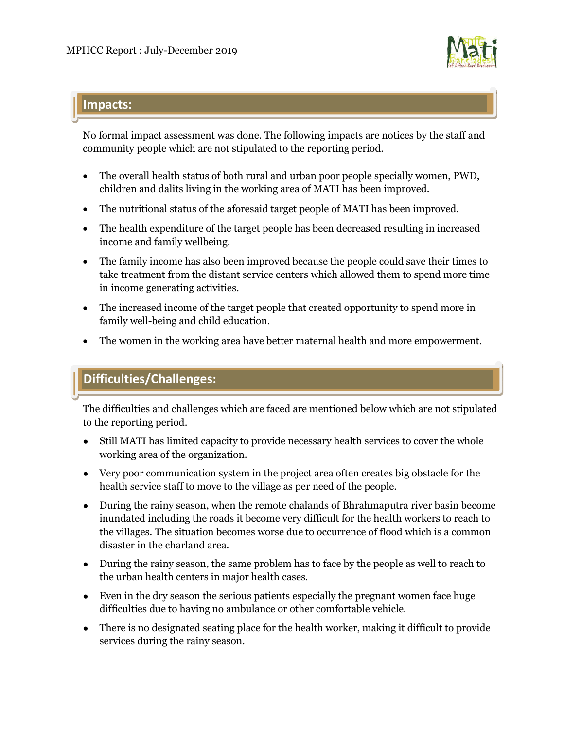

# **Impacts:**

No formal impact assessment was done. The following impacts are notices by the staff and community people which are not stipulated to the reporting period.

- The overall health status of both rural and urban poor people specially women, PWD, children and dalits living in the working area of MATI has been improved.
- The nutritional status of the aforesaid target people of MATI has been improved.
- The health expenditure of the target people has been decreased resulting in increased income and family wellbeing.
- The family income has also been improved because the people could save their times to take treatment from the distant service centers which allowed them to spend more time in income generating activities.
- The increased income of the target people that created opportunity to spend more in family well-being and child education.
- The women in the working area have better maternal health and more empowerment.

# **Difficulties/Challenges:**

The difficulties and challenges which are faced are mentioned below which are not stipulated to the reporting period.

- Still MATI has limited capacity to provide necessary health services to cover the whole working area of the organization.
- Very poor communication system in the project area often creates big obstacle for the health service staff to move to the village as per need of the people.
- During the rainy season, when the remote chalands of Bhrahmaputra river basin become inundated including the roads it become very difficult for the health workers to reach to the villages. The situation becomes worse due to occurrence of flood which is a common disaster in the charland area.
- During the rainy season, the same problem has to face by the people as well to reach to the urban health centers in major health cases.
- Even in the dry season the serious patients especially the pregnant women face huge difficulties due to having no ambulance or other comfortable vehicle.
- There is no designated seating place for the health worker, making it difficult to provide services during the rainy season.